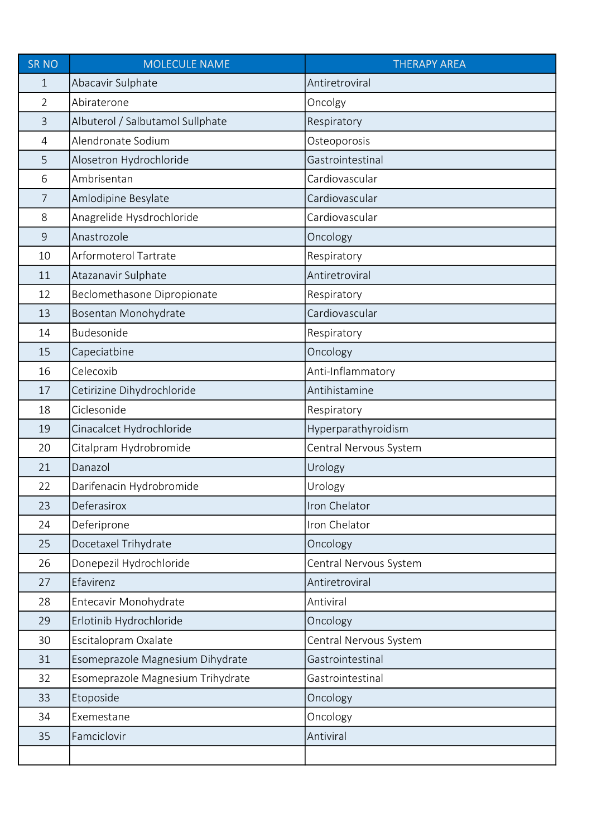| <b>SR NO</b>   | <b>MOLECULE NAME</b>              | <b>THERAPY AREA</b>    |
|----------------|-----------------------------------|------------------------|
| 1              | Abacavir Sulphate                 | Antiretroviral         |
| $\overline{2}$ | Abiraterone                       | Oncolgy                |
| $\overline{3}$ | Albuterol / Salbutamol Sullphate  | Respiratory            |
| 4              | Alendronate Sodium                | Osteoporosis           |
| 5              | Alosetron Hydrochloride           | Gastrointestinal       |
| 6              | Ambrisentan                       | Cardiovascular         |
| $\overline{7}$ | Amlodipine Besylate               | Cardiovascular         |
| 8              | Anagrelide Hysdrochloride         | Cardiovascular         |
| $\mathsf 9$    | Anastrozole                       | Oncology               |
| 10             | Arformoterol Tartrate             | Respiratory            |
| 11             | Atazanavir Sulphate               | Antiretroviral         |
| 12             | Beclomethasone Dipropionate       | Respiratory            |
| 13             | Bosentan Monohydrate              | Cardiovascular         |
| 14             | Budesonide                        | Respiratory            |
| 15             | Capeciatbine                      | Oncology               |
| 16             | Celecoxib                         | Anti-Inflammatory      |
| 17             | Cetirizine Dihydrochloride        | Antihistamine          |
| 18             | Ciclesonide                       | Respiratory            |
| 19             | Cinacalcet Hydrochloride          | Hyperparathyroidism    |
| 20             | Citalpram Hydrobromide            | Central Nervous System |
| 21             | Danazol                           | Urology                |
| 22             | Darifenacin Hydrobromide          | Urology                |
| 23             | Deferasirox                       | Iron Chelator          |
| 24             | Deferiprone                       | Iron Chelator          |
| 25             | Docetaxel Trihydrate              | Oncology               |
| 26             | Donepezil Hydrochloride           | Central Nervous System |
| 27             | Efavirenz                         | Antiretroviral         |
| 28             | Entecavir Monohydrate             | Antiviral              |
| 29             | Erlotinib Hydrochloride           | Oncology               |
| 30             | Escitalopram Oxalate              | Central Nervous System |
| 31             | Esomeprazole Magnesium Dihydrate  | Gastrointestinal       |
| 32             | Esomeprazole Magnesium Trihydrate | Gastrointestinal       |
| 33             | Etoposide                         | Oncology               |
| 34             | Exemestane                        | Oncology               |
| 35             | Famciclovir                       | Antiviral              |
|                |                                   |                        |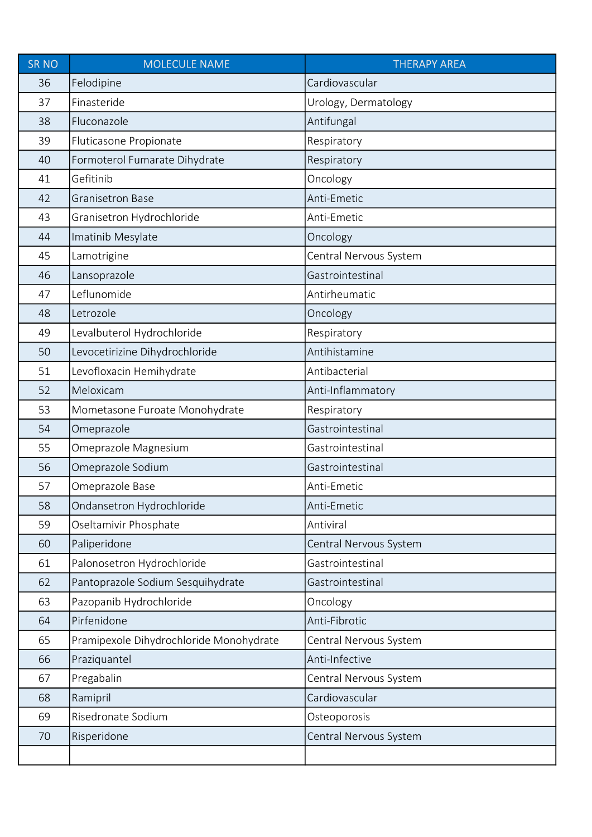| <b>SR NO</b> | <b>MOLECULE NAME</b>                    | <b>THERAPY AREA</b>    |
|--------------|-----------------------------------------|------------------------|
| 36           | Felodipine                              | Cardiovascular         |
| 37           | Finasteride                             | Urology, Dermatology   |
| 38           | Fluconazole                             | Antifungal             |
| 39           | Fluticasone Propionate                  | Respiratory            |
| 40           | Formoterol Fumarate Dihydrate           | Respiratory            |
| 41           | Gefitinib                               | Oncology               |
| 42           | <b>Granisetron Base</b>                 | Anti-Emetic            |
| 43           | Granisetron Hydrochloride               | Anti-Emetic            |
| 44           | Imatinib Mesylate                       | Oncology               |
| 45           | Lamotrigine                             | Central Nervous System |
| 46           | Lansoprazole                            | Gastrointestinal       |
| 47           | Leflunomide                             | Antirheumatic          |
| 48           | Letrozole                               | Oncology               |
| 49           | Levalbuterol Hydrochloride              | Respiratory            |
| 50           | Levocetirizine Dihydrochloride          | Antihistamine          |
| 51           | Levofloxacin Hemihydrate                | Antibacterial          |
| 52           | Meloxicam                               | Anti-Inflammatory      |
| 53           | Mometasone Furoate Monohydrate          | Respiratory            |
| 54           | Omeprazole                              | Gastrointestinal       |
| 55           | Omeprazole Magnesium                    | Gastrointestinal       |
| 56           | Omeprazole Sodium                       | Gastrointestinal       |
| 57           | Omeprazole Base                         | Anti-Emetic            |
| 58           | Ondansetron Hydrochloride               | Anti-Emetic            |
| 59           | Oseltamivir Phosphate                   | Antiviral              |
| 60           | Paliperidone                            | Central Nervous System |
| 61           | Palonosetron Hydrochloride              | Gastrointestinal       |
| 62           | Pantoprazole Sodium Sesquihydrate       | Gastrointestinal       |
| 63           | Pazopanib Hydrochloride                 | Oncology               |
| 64           | Pirfenidone                             | Anti-Fibrotic          |
| 65           | Pramipexole Dihydrochloride Monohydrate | Central Nervous System |
| 66           | Praziquantel                            | Anti-Infective         |
| 67           | Pregabalin                              | Central Nervous System |
| 68           | Ramipril                                | Cardiovascular         |
| 69           | Risedronate Sodium                      | Osteoporosis           |
| 70           | Risperidone                             | Central Nervous System |
|              |                                         |                        |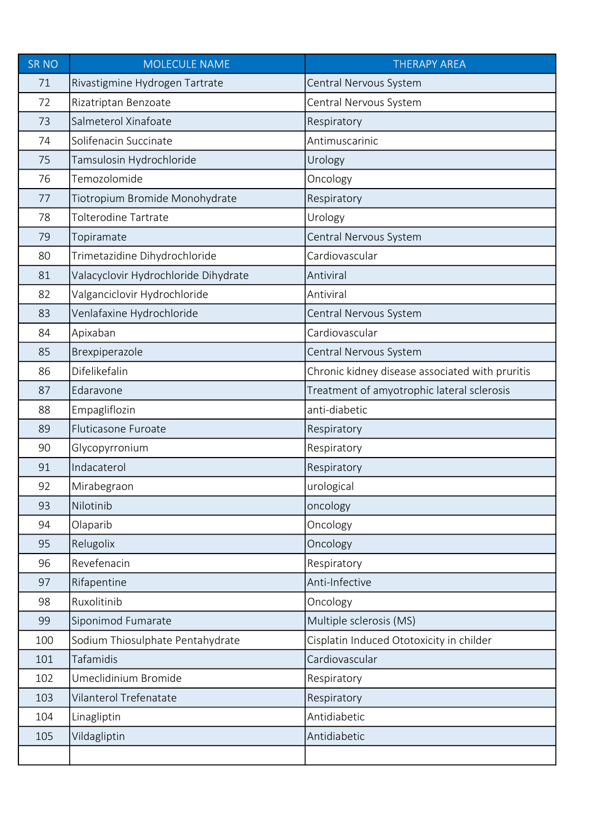| <b>SR NO</b> | <b>MOLECULE NAME</b>                 | <b>THERAPY AREA</b>                             |
|--------------|--------------------------------------|-------------------------------------------------|
| 71           | Rivastigmine Hydrogen Tartrate       | Central Nervous System                          |
| 72           | Rizatriptan Benzoate                 | Central Nervous System                          |
| 73           | Salmeterol Xinafoate                 | Respiratory                                     |
| 74           | Solifenacin Succinate                | Antimuscarinic                                  |
| 75           | Tamsulosin Hydrochloride             | Urology                                         |
| 76           | Temozolomide                         | Oncology                                        |
| 77           | Tiotropium Bromide Monohydrate       | Respiratory                                     |
| 78           | <b>Tolterodine Tartrate</b>          | Urology                                         |
| 79           | Topiramate                           | Central Nervous System                          |
| 80           | Trimetazidine Dihydrochloride        | Cardiovascular                                  |
| 81           | Valacyclovir Hydrochloride Dihydrate | Antiviral                                       |
| 82           | Valganciclovir Hydrochloride         | Antiviral                                       |
| 83           | Venlafaxine Hydrochloride            | Central Nervous System                          |
| 84           | Apixaban                             | Cardiovascular                                  |
| 85           | Brexpiperazole                       | Central Nervous System                          |
| 86           | Difelikefalin                        | Chronic kidney disease associated with pruritis |
| 87           | Edaravone                            | Treatment of amyotrophic lateral sclerosis      |
| 88           | Empagliflozin                        | anti-diabetic                                   |
| 89           | Fluticasone Furoate                  | Respiratory                                     |
| 90           | Glycopyrronium                       | Respiratory                                     |
| 91           | Indacaterol                          | Respiratory                                     |
| 92           | Mirabegraon                          | urological                                      |
| 93           | Nilotinib                            | oncology                                        |
| 94           | Olaparib                             | Oncology                                        |
| 95           | Relugolix                            | Oncology                                        |
| 96           | Revefenacin                          | Respiratory                                     |
| 97           | Rifapentine                          | Anti-Infective                                  |
| 98           | Ruxolitinib                          | Oncology                                        |
| 99           | Siponimod Fumarate                   | Multiple sclerosis (MS)                         |
| 100          | Sodium Thiosulphate Pentahydrate     | Cisplatin Induced Ototoxicity in childer        |
| 101          | Tafamidis                            | Cardiovascular                                  |
| 102          | Umeclidinium Bromide                 | Respiratory                                     |
| 103          | Vilanterol Trefenatate               | Respiratory                                     |
| 104          | Linagliptin                          | Antidiabetic                                    |
| 105          | Vildagliptin                         | Antidiabetic                                    |
|              |                                      |                                                 |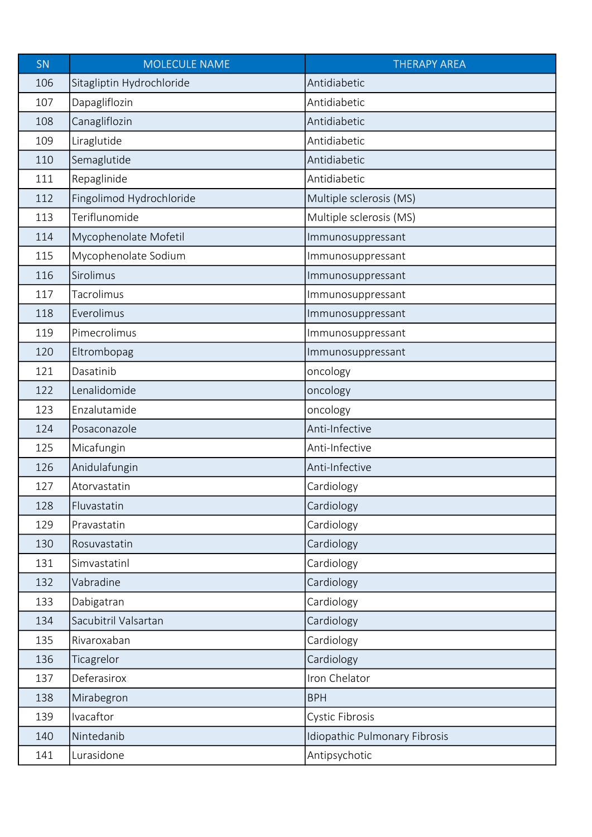| SN  | <b>MOLECULE NAME</b>      | <b>THERAPY AREA</b>           |
|-----|---------------------------|-------------------------------|
| 106 | Sitagliptin Hydrochloride | Antidiabetic                  |
| 107 | Dapagliflozin             | Antidiabetic                  |
| 108 | Canagliflozin             | Antidiabetic                  |
| 109 | Liraglutide               | Antidiabetic                  |
| 110 | Semaglutide               | Antidiabetic                  |
| 111 | Repaglinide               | Antidiabetic                  |
| 112 | Fingolimod Hydrochloride  | Multiple sclerosis (MS)       |
| 113 | Teriflunomide             | Multiple sclerosis (MS)       |
| 114 | Mycophenolate Mofetil     | Immunosuppressant             |
| 115 | Mycophenolate Sodium      | Immunosuppressant             |
| 116 | Sirolimus                 | Immunosuppressant             |
| 117 | Tacrolimus                | Immunosuppressant             |
| 118 | Everolimus                | Immunosuppressant             |
| 119 | Pimecrolimus              | Immunosuppressant             |
| 120 | Eltrombopag               | Immunosuppressant             |
| 121 | Dasatinib                 | oncology                      |
| 122 | Lenalidomide              | oncology                      |
| 123 | Enzalutamide              | oncology                      |
| 124 | Posaconazole              | Anti-Infective                |
| 125 | Micafungin                | Anti-Infective                |
| 126 | Anidulafungin             | Anti-Infective                |
| 127 | Atorvastatin              | Cardiology                    |
| 128 | Fluvastatin               | Cardiology                    |
| 129 | Pravastatin               | Cardiology                    |
| 130 | Rosuvastatin              | Cardiology                    |
| 131 | Simvastatinl              | Cardiology                    |
| 132 | Vabradine                 | Cardiology                    |
| 133 | Dabigatran                | Cardiology                    |
| 134 | Sacubitril Valsartan      | Cardiology                    |
| 135 | Rivaroxaban               | Cardiology                    |
| 136 | Ticagrelor                | Cardiology                    |
| 137 | Deferasirox               | Iron Chelator                 |
| 138 | Mirabegron                | <b>BPH</b>                    |
| 139 | Ivacaftor                 | <b>Cystic Fibrosis</b>        |
| 140 | Nintedanib                | Idiopathic Pulmonary Fibrosis |
| 141 | Lurasidone                | Antipsychotic                 |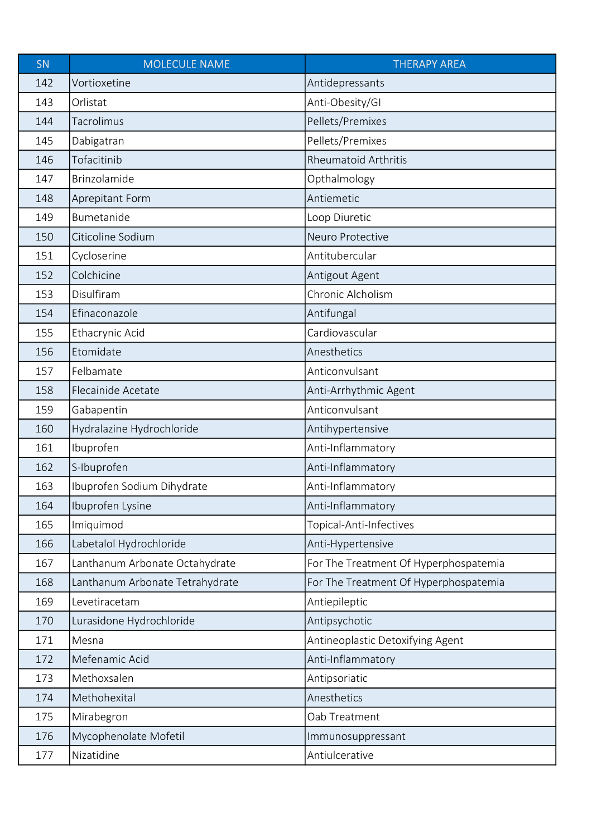| SN  | <b>MOLECULE NAME</b>            | <b>THERAPY AREA</b>                   |
|-----|---------------------------------|---------------------------------------|
| 142 | Vortioxetine                    | Antidepressants                       |
| 143 | Orlistat                        | Anti-Obesity/GI                       |
| 144 | Tacrolimus                      | Pellets/Premixes                      |
| 145 | Dabigatran                      | Pellets/Premixes                      |
| 146 | Tofacitinib                     | <b>Rheumatoid Arthritis</b>           |
| 147 | Brinzolamide                    | Opthalmology                          |
| 148 | Aprepitant Form                 | Antiemetic                            |
| 149 | Bumetanide                      | Loop Diuretic                         |
| 150 | Citicoline Sodium               | Neuro Protective                      |
| 151 | Cycloserine                     | Antitubercular                        |
| 152 | Colchicine                      | Antigout Agent                        |
| 153 | Disulfiram                      | Chronic Alcholism                     |
| 154 | Efinaconazole                   | Antifungal                            |
| 155 | Ethacrynic Acid                 | Cardiovascular                        |
| 156 | Etomidate                       | Anesthetics                           |
| 157 | Felbamate                       | Anticonvulsant                        |
| 158 | Flecainide Acetate              | Anti-Arrhythmic Agent                 |
| 159 | Gabapentin                      | Anticonvulsant                        |
| 160 | Hydralazine Hydrochloride       | Antihypertensive                      |
| 161 | Ibuprofen                       | Anti-Inflammatory                     |
| 162 | S-Ibuprofen                     | Anti-Inflammatory                     |
| 163 | Ibuprofen Sodium Dihydrate      | Anti-Inflammatory                     |
| 164 | Ibuprofen Lysine                | Anti-Inflammatory                     |
| 165 | Imiquimod                       | Topical-Anti-Infectives               |
| 166 | Labetalol Hydrochloride         | Anti-Hypertensive                     |
| 167 | Lanthanum Arbonate Octahydrate  | For The Treatment Of Hyperphospatemia |
| 168 | Lanthanum Arbonate Tetrahydrate | For The Treatment Of Hyperphospatemia |
| 169 | Levetiracetam                   | Antiepileptic                         |
| 170 | Lurasidone Hydrochloride        | Antipsychotic                         |
| 171 | Mesna                           | Antineoplastic Detoxifying Agent      |
| 172 | Mefenamic Acid                  | Anti-Inflammatory                     |
| 173 | Methoxsalen                     | Antipsoriatic                         |
| 174 | Methohexital                    | Anesthetics                           |
| 175 | Mirabegron                      | Oab Treatment                         |
| 176 | Mycophenolate Mofetil           | Immunosuppressant                     |
| 177 | Nizatidine                      | Antiulcerative                        |